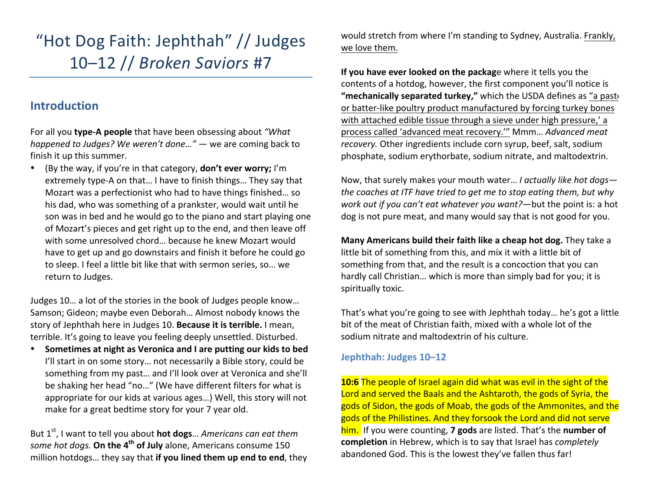# "Hot Dog Faith: Jephthah" // Judges 10–12 // *Broken Saviors* #7

# **Introduction**

For all you **type-A people** that have been obsessing about "What *happened to Judges?* We weren't done..." — we are coming back to finish it up this summer.

• (By the way, if you're in that category, **don't ever worry;** I'm extremely type-A on that... I have to finish things... They say that Mozart was a perfectionist who had to have things finished... so his dad, who was something of a prankster, would wait until he son was in bed and he would go to the piano and start playing one of Mozart's pieces and get right up to the end, and then leave off with some unresolved chord... because he knew Mozart would have to get up and go downstairs and finish it before he could go to sleep. I feel a little bit like that with sermon series, so... we return to Judges.

Judges 10... a lot of the stories in the book of Judges people know... Samson; Gideon; maybe even Deborah... Almost nobody knows the story of Jephthah here in Judges 10. **Because it is terrible.** I mean, terrible. It's going to leave you feeling deeply unsettled. Disturbed.

• Sometimes at night as Veronica and I are putting our kids to bed I'll start in on some story... not necessarily a Bible story, could be something from my past... and I'll look over at Veronica and she'll be shaking her head "no..." (We have different filters for what is appropriate for our kids at various ages...) Well, this story will not make for a great bedtime story for your 7 year old.

But 1<sup>st</sup>, I want to tell you about **hot dogs**... Americans can eat them *some hot dogs.* On the 4<sup>th</sup> of July alone, Americans consume 150 million hotdogs... they say that if you lined them up end to end, they would stretch from where I'm standing to Sydney, Australia. Frankly, we love them.

**If you have ever looked on the package** where it tells you the contents of a hotdog, however, the first component you'll notice is "mechanically separated turkey," which the USDA defines as "a paste or batter-like poultry product manufactured by forcing turkey bones with attached edible tissue through a sieve under high pressure,' a process called 'advanced meat recovery.'" Mmm... Advanced meat *recovery.* Other ingredients include corn syrup, beef, salt, sodium phosphate, sodium erythorbate, sodium nitrate, and maltodextrin.

Now, that surely makes your mouth water... *I actually like hot dogs the coaches at ITF have tried to get me to stop eating them, but why work out if you can't eat whatever you want?*—but the point is: a hot dog is not pure meat, and many would say that is not good for you.

**Many Americans build their faith like a cheap hot dog.** They take a little bit of something from this, and mix it with a little bit of something from that, and the result is a concoction that you can hardly call Christian... which is more than simply bad for you; it is spiritually toxic.

That's what you're going to see with Jephthah today... he's got a little bit of the meat of Christian faith, mixed with a whole lot of the sodium nitrate and maltodextrin of his culture.

## Jephthah: Judges 10-12

**10:6** The people of Israel again did what was evil in the sight of the Lord and served the Baals and the Ashtaroth, the gods of Syria, the gods of Sidon, the gods of Moab, the gods of the Ammonites, and the gods of the Philistines. And they forsook the Lord and did not serve him. If you were counting, **7 gods** are listed. That's the **number of completion** in Hebrew, which is to say that Israel has *completely* abandoned God. This is the lowest they've fallen thus far!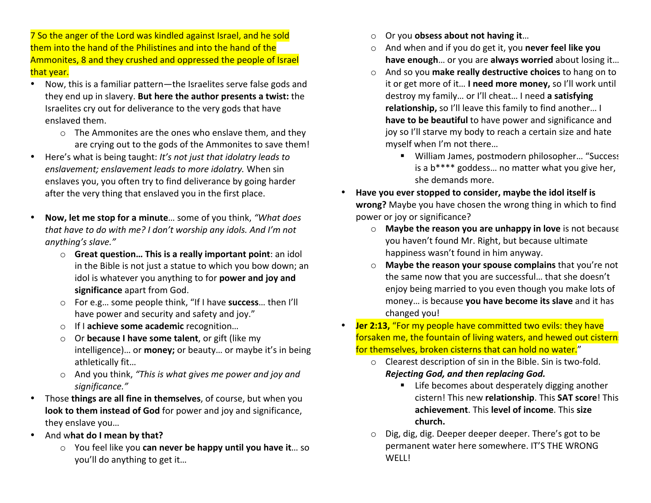7 So the anger of the Lord was kindled against Israel, and he sold them into the hand of the Philistines and into the hand of the Ammonites, 8 and they crushed and oppressed the people of Israel that year.

- Now, this is a familiar pattern—the Israelites serve false gods and they end up in slavery. But here the author presents a twist: the Israelites cry out for deliverance to the very gods that have enslaved them.
	- $\circ$  The Ammonites are the ones who enslave them, and they are crying out to the gods of the Ammonites to save them!
- Here's what is being taught: *It's not just that idolatry leads to* enslavement; enslavement leads to more *idolatry*. When sin enslaves you, you often try to find deliverance by going harder after the very thing that enslaved you in the first place.
- Now, let me stop for a minute... some of you think, "What does *that have to do with me? I don't worship any idols. And I'm not anything's slave."*
	- $\circ$  **Great question... This is a really important point**: an idol in the Bible is not just a statue to which you bow down; an idol is whatever you anything to for **power and joy and** significance apart from God.
	- o For e.g… some people think, "If I have **success**… then I'll have power and security and safety and joy."
	- o If I achieve some academic recognition...
	- o Or **because I have some talent**, or gift (like my intelligence)... or **money**; or beauty... or maybe it's in being athletically fit...
	- o And you think, "This is what gives me power and joy and *significance."*
- Those things are all fine in themselves, of course, but when you **look to them instead of God** for power and joy and significance, they enslave you...
- And what do I mean by that?
	- You feel like you **can never be happy until you have it**... so you'll do anything to get it...
- Or you **obsess about not having it**...
- o And when and if you do get it, you **never feel like you** have enough... or you are always worried about losing it...
- o And so you make really destructive choices to hang on to it or get more of it... I need more money, so I'll work until destroy my family... or I'll cheat... I need a satisfying relationship, so I'll leave this family to find another... I **have to be beautiful** to have power and significance and joy so I'll starve my body to reach a certain size and hate myself when I'm not there...
	- William James, postmodern philosopher... "Success is a  $b***$  goddess... no matter what you give her, she demands more.
- Have you ever stopped to consider, maybe the idol itself is **wrong?** Maybe you have chosen the wrong thing in which to find power or joy or significance?
	- o **Maybe the reason you are unhappy in love** is not because you haven't found Mr. Right, but because ultimate happiness wasn't found in him anyway.
	- o **Maybe the reason your spouse complains** that you're not the same now that you are successful... that she doesn't enjoy being married to you even though you make lots of money... is because you have become its slave and it has changed you!
- **Jer 2:13,** "For my people have committed two evils: they have forsaken me, the fountain of living waters, and hewed out cistern. for themselves, broken cisterns that can hold no water."
	- $\circ$  Clearest description of sin in the Bible. Sin is two-fold. *Rejecting God, and then replacing God.*
		- $\blacksquare$  Life becomes about desperately digging another cistern! This new **relationship**. This **SAT score**! This achievement. This level of income. This size **church.**
	- o Dig, dig, dig. Deeper deeper deeper. There's got to be permanent water here somewhere. IT'S THE WRONG WELL!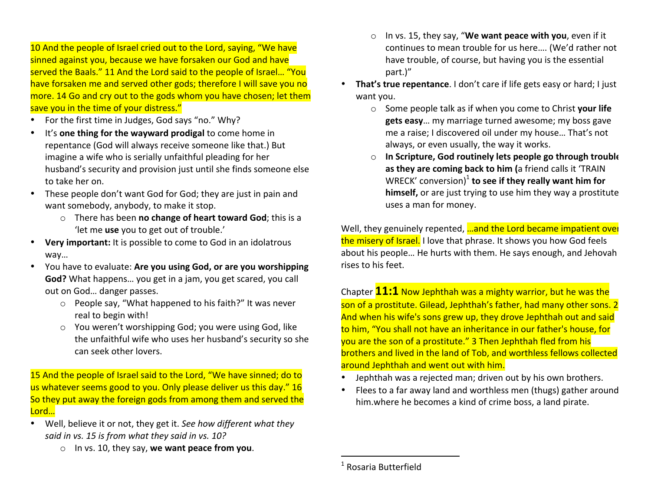10 And the people of Israel cried out to the Lord, saying, "We have sinned against you, because we have forsaken our God and have served the Baals." 11 And the Lord said to the people of Israel... "You have forsaken me and served other gods; therefore I will save you no more. 14 Go and cry out to the gods whom you have chosen; let them save you in the time of your distress."

- For the first time in Judges, God says "no." Why?
- It's **one thing for the wayward prodigal** to come home in repentance (God will always receive someone like that.) But imagine a wife who is serially unfaithful pleading for her husband's security and provision just until she finds someone else to take her on.
- These people don't want God for God; they are just in pain and want somebody, anybody, to make it stop.
	- o There has been **no change of heart toward God**; this is a 'let me use you to get out of trouble.'
- Very important: It is possible to come to God in an idolatrous way…
- You have to evaluate: Are you using God, or are you worshipping **God?** What happens... you get in a jam, you get scared, you call out on God... danger passes.
	- $\circ$  People say, "What happened to his faith?" It was never real to begin with!
	- $\circ$  You weren't worshipping God; you were using God, like the unfaithful wife who uses her husband's security so she can seek other lovers.

15 And the people of Israel said to the Lord, "We have sinned; do to us whatever seems good to you. Only please deliver us this day." 16 So they put away the foreign gods from among them and served the Lord…

- Well, believe it or not, they get it. See how different what they *said in vs. 15 is from what they said in vs. 10?* 
	- o In vs. 10, they say, **we want peace from you**.
- o In vs. 15, they say, "We want peace with you, even if it continues to mean trouble for us here.... (We'd rather not have trouble, of course, but having you is the essential part.)"
- That's true repentance. I don't care if life gets easy or hard; I just want you.
	- o Some people talk as if when you come to Christ **your life** gets easy... my marriage turned awesome; my boss gave me a raise; I discovered oil under my house... That's not always, or even usually, the way it works.
	- o **In Scripture, God routinely lets people go through trouble** as they are coming back to him (a friend calls it 'TRAIN WRECK' conversion)<sup>1</sup> **to see if they really want him for himself,** or are just trying to use him they way a prostitute uses a man for money.

Well, they genuinely repented, **...and the Lord became impatient over** the misery of Israel. I love that phrase. It shows you how God feels about his people... He hurts with them. He says enough, and Jehovah rises to his feet.

Chapter **11:1** Now Jephthah was a mighty warrior, but he was the son of a prostitute. Gilead, Jephthah's father, had many other sons. 2 And when his wife's sons grew up, they drove Jephthah out and said to him, "You shall not have an inheritance in our father's house, for you are the son of a prostitute." 3 Then Jephthah fled from his brothers and lived in the land of Tob, and worthless fellows collected around Jephthah and went out with him.

- Jephthah was a rejected man; driven out by his own brothers.
- Flees to a far away land and worthless men (thugs) gather around him.where he becomes a kind of crime boss, a land pirate.

 

 $1$  Rosaria Butterfield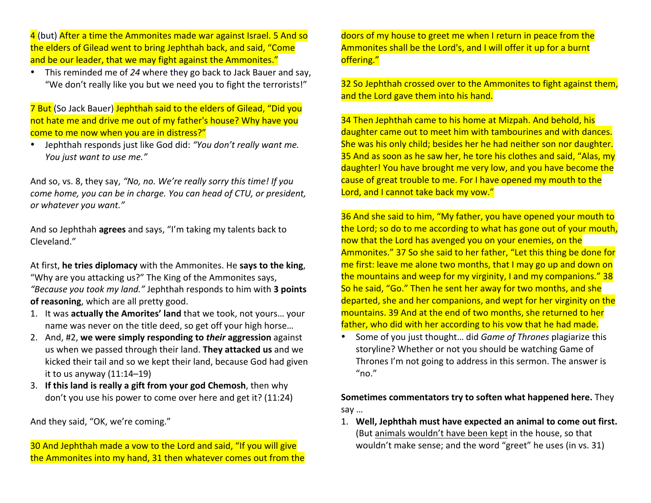4 (but) After a time the Ammonites made war against Israel. 5 And so the elders of Gilead went to bring Jephthah back, and said, "Come and be our leader, that we may fight against the Ammonites."

• This reminded me of 24 where they go back to Jack Bauer and say, "We don't really like you but we need you to fight the terrorists!"

7 But (So Jack Bauer) Jephthah said to the elders of Gilead, "Did you not hate me and drive me out of my father's house? Why have you come to me now when you are in distress?"

• Jephthah responds just like God did: "You don't really want me. *You just* want to use me."

And so, vs. 8, they say, "No, no. We're really sorry this time! If you *come home, you can be in charge. You can head of CTU, or president, or whatever you want."* 

And so Jephthah **agrees** and says, "I'm taking my talents back to Cleveland."

At first, he tries diplomacy with the Ammonites. He says to the king, "Why are you attacking us?" The King of the Ammonites says, *"Because you took my land."* Jephthah responds to him with **3 points** of reasoning, which are all pretty good.

- 1. It was **actually the Amorites' land** that we took, not yours... your name was never on the title deed, so get off your high horse...
- 2. And, #2, we were simply responding to *their* aggression against us when we passed through their land. **They attacked us** and we kicked their tail and so we kept their land, because God had given it to us anyway  $(11:14-19)$
- 3. If this land is really a gift from your god Chemosh, then why don't you use his power to come over here and get it? (11:24)

And they said, "OK, we're coming."

30 And Jephthah made a vow to the Lord and said, "If you will give the Ammonites into my hand, 31 then whatever comes out from the doors of my house to greet me when I return in peace from the Ammonites shall be the Lord's, and I will offer it up for a burnt offering." 

32 So Jephthah crossed over to the Ammonites to fight against them, and the Lord gave them into his hand.

34 Then Jephthah came to his home at Mizpah. And behold, his daughter came out to meet him with tambourines and with dances. She was his only child; besides her he had neither son nor daughter. 35 And as soon as he saw her, he tore his clothes and said, "Alas, my daughter! You have brought me very low, and you have become the cause of great trouble to me. For I have opened my mouth to the Lord, and I cannot take back my vow."

36 And she said to him, "My father, you have opened your mouth to the Lord; so do to me according to what has gone out of your mouth, now that the Lord has avenged you on your enemies, on the Ammonites." 37 So she said to her father, "Let this thing be done for me first: leave me alone two months, that I may go up and down on the mountains and weep for my virginity, I and my companions."  $38$ So he said, "Go." Then he sent her away for two months, and she departed, she and her companions, and wept for her virginity on the mountains. 39 And at the end of two months, she returned to her father, who did with her according to his yow that he had made.

• Some of you just thought... did *Game of Thrones* plagiarize this storyline? Whether or not you should be watching Game of Thrones I'm not going to address in this sermon. The answer is "no."

**Sometimes commentators try to soften what happened here.** They say … 

1. Well, Jephthah must have expected an animal to come out first. (But animals wouldn't have been kept in the house, so that wouldn't make sense; and the word "greet" he uses (in vs. 31)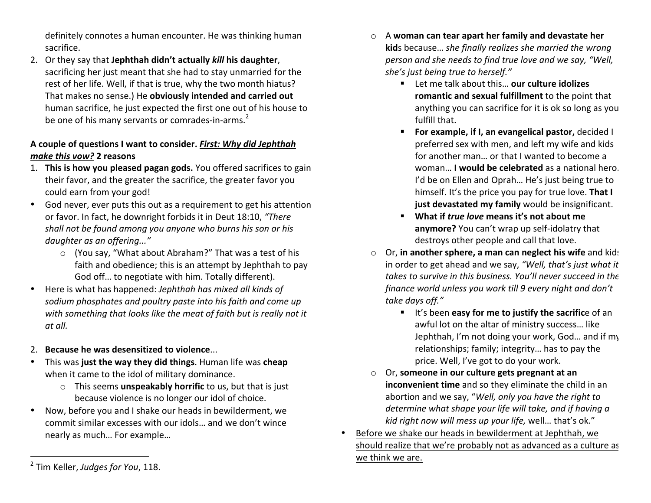definitely connotes a human encounter. He was thinking human sacrifice.

2. Or they say that **Jephthah didn't actually** *kill* **his daughter**, sacrificing her just meant that she had to stay unmarried for the rest of her life. Well, if that is true, why the two month hiatus? That makes no sense.) He **obviously intended and carried out** human sacrifice, he just expected the first one out of his house to be one of his many servants or comrades-in-arms.<sup>2</sup>

# A couple of questions I want to consider. *First: Why did Jephthah make this vow?* **2 reasons**

- 1. **This is how you pleased pagan gods.** You offered sacrifices to gain their favor, and the greater the sacrifice, the greater favor you could earn from your god!
- God never, ever puts this out as a requirement to get his attention or favor. In fact, he downright forbids it in Deut 18:10, "There *shall not be found among you anyone who burns his son or his* daughter as an offering..."
	- $\circ$  (You say, "What about Abraham?" That was a test of his faith and obedience; this is an attempt by Jephthah to pay God off... to negotiate with him. Totally different).
- Here is what has happened: *Jephthah has mixed all kinds of* sodium phosphates and poultry paste into his faith and come up with something that looks like the meat of faith but is really not it *at all.*
- 2. **Because he was desensitized to violence...**
- This was just the way they did things. Human life was cheap when it came to the idol of military dominance.
	- o This seems **unspeakably horrific** to us, but that is just because violence is no longer our idol of choice.
- Now, before you and I shake our heads in bewilderment, we commit similar excesses with our idols... and we don't wince nearly as much... For example...
- o A **woman can tear apart her family and devastate her kid**s because... *she finally realizes she married the wrong person and she needs to find true love and we say, "Well,* she's just being true to herself."
	- Let me talk about this… **our culture idolizes romantic and sexual fulfillment** to the point that anything you can sacrifice for it is ok so long as you fulfill that.
	- **For example, if I, an evangelical pastor, decided I** preferred sex with men, and left my wife and kids for another man... or that I wanted to become a **woman... I would be celebrated** as a national hero. I'd be on Ellen and Oprah... He's just being true to himself. It's the price you pay for true love. That I **just devastated my family** would be insignificant.
	- What if *true love* means it's not about me anymore? You can't wrap up self-idolatry that destroys other people and call that love.
- o Or, in another sphere, a man can neglect his wife and kids in order to get ahead and we say, "Well, that's just what it *takes to survive in this business. You'll never succeed in the finance world unless you work till 9 every night and don't take days off."*
	- **EXECT:** It's been easy for me to justify the sacrifice of an awful lot on the altar of ministry success... like Jephthah, I'm not doing your work, God... and if my relationships; family; integrity... has to pay the price. Well, I've got to do your work.
- o Or, **someone in our culture gets pregnant at an inconvenient time** and so they eliminate the child in an abortion and we say, "Well, only you have the right to *determine* what shape your life will take, and if having a *kid right now will mess up your life, well... that's ok."*
- Before we shake our heads in bewilderment at Jephthah, we should realize that we're probably not as advanced as a culture as we think we are.

 <sup>2</sup> Tim Keller, Judges for You, 118.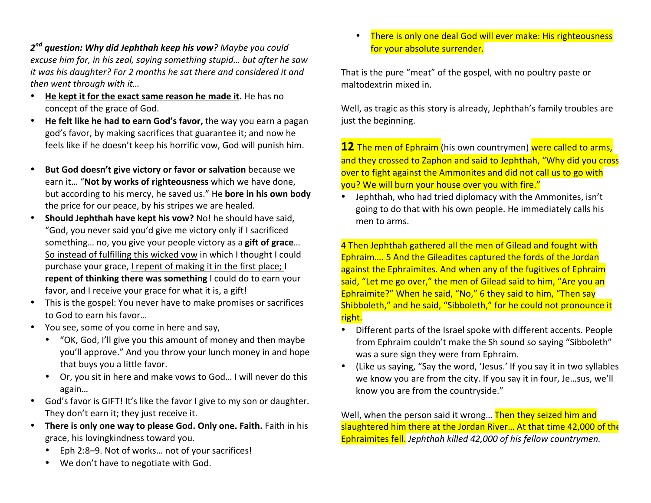$2<sup>nd</sup>$  question: Why did Jephthah keep his vow? Maybe you could excuse him for, in his zeal, saying something stupid... but after he saw *it* was his daughter? For 2 months he sat there and considered it and *then* went through with it...

- He kept it for the exact same reason he made it. He has no concept of the grace of God.
- He felt like he had to earn God's favor, the way you earn a pagan god's favor, by making sacrifices that guarantee it; and now he feels like if he doesn't keep his horrific vow, God will punish him.
- **But God doesn't give victory or favor or salvation** because we earn it... "Not by works of righteousness which we have done, but according to his mercy, he saved us." He **bore in his own body** the price for our peace, by his stripes we are healed.
- Should Jephthah have kept his vow? No! he should have said, "God, you never said you'd give me victory only if I sacrificed something... no, you give your people victory as a gift of grace... So instead of fulfilling this wicked vow in which I thought I could purchase your grace, I repent of making it in the first place; I repent of thinking there was something I could do to earn your favor, and I receive your grace for what it is, a gift!
- This is the gospel: You never have to make promises or sacrifices to God to earn his favor...
- You see, some of you come in here and say.
	- "OK, God, I'll give you this amount of money and then maybe you'll approve." And you throw your lunch money in and hope that buys you a little favor.
	- Or, you sit in here and make vows to God... I will never do this again…
- God's favor is GIFT! It's like the favor I give to my son or daughter. They don't earn it; they just receive it.
- There is only one way to please God. Only one. Faith. Faith in his grace, his lovingkindness toward you.
	- Eph 2:8-9. Not of works... not of your sacrifices!
	- We don't have to negotiate with God.

There is only one deal God will ever make: His righteousness for your absolute surrender.

That is the pure "meat" of the gospel, with no poultry paste or maltodextrin mixed in.

Well, as tragic as this story is already, Jephthah's family troubles are just the beginning.

**12** The men of Ephraim (his own countrymen) were called to arms, and they crossed to Zaphon and said to Jephthah, "Why did you cross over to fight against the Ammonites and did not call us to go with you? We will burn your house over you with fire."

Jephthah, who had tried diplomacy with the Ammonites, isn't going to do that with his own people. He immediately calls his men to arms.

4 Then Jephthah gathered all the men of Gilead and fought with Ephraim.... 5 And the Gileadites captured the fords of the Jordan against the Ephraimites. And when any of the fugitives of Ephraim said, "Let me go over," the men of Gilead said to him, "Are you an Ephraimite?" When he said, "No," 6 they said to him, "Then say Shibboleth," and he said, "Sibboleth," for he could not pronounce it right. 

- Different parts of the Israel spoke with different accents. People from Ephraim couldn't make the Sh sound so saying "Sibboleth" was a sure sign they were from Ephraim.
- (Like us saying, "Say the word, 'Jesus.' If you say it in two syllables we know you are from the city. If you say it in four, Je...sus, we'll know you are from the countryside."

Well, when the person said it wrong... Then they seized him and slaughtered him there at the Jordan River... At that time 42,000 of the Ephraimites fell. *Jephthah killed 42,000 of his fellow countrymen.*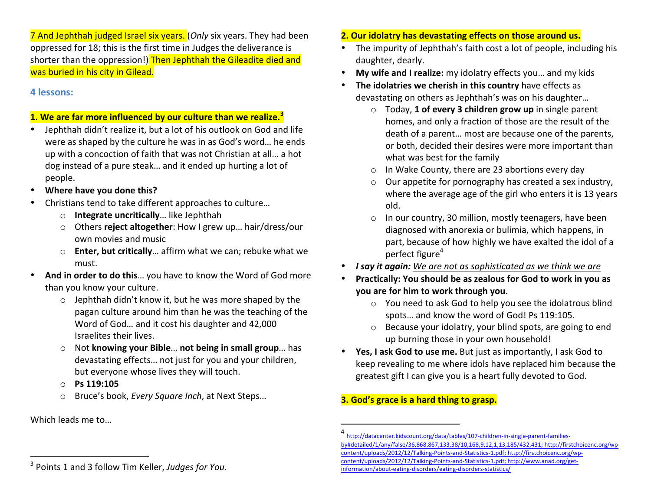7 And Jephthah judged Israel six years. (*Only* six years. They had been oppressed for 18; this is the first time in Judges the deliverance is shorter than the oppression!) Then Jephthah the Gileadite died and was buried in his city in Gilead.

## **4 lessons:**

#### **1.** We are far more influenced by our culture than we realize.<sup>3</sup>

- Jephthah didn't realize it, but a lot of his outlook on God and life were as shaped by the culture he was in as God's word... he ends up with a concoction of faith that was not Christian at all... a hot dog instead of a pure steak... and it ended up hurting a lot of people.
- Where have you done this?
- Christians tend to take different approaches to culture...
	- o **Integrate uncritically**... like Jephthah
	- o Others **reject altogether**: How I grew up... hair/dress/our own movies and music
	- o **Enter, but critically**... affirm what we can; rebuke what we must.
- And in order to do this... you have to know the Word of God more than you know your culture.
	- $\circ$  Jephthah didn't know it, but he was more shaped by the pagan culture around him than he was the teaching of the Word of God... and it cost his daughter and 42,000 Israelites their lives.
	- Not knowing your Bible... not being in small group... has devastating effects... not just for you and your children, but everyone whose lives they will touch.
	- o **Ps 119:105**

 

o Bruce's book, *Every Square Inch*, at Next Steps...

Which leads me to...

# • The impurity of Jephthah's faith cost a lot of people, including his

- daughter, dearly.
- **My wife and I realize:** my idolatry effects you... and my kids

**2. Our idolatry has devastating effects on those around us.** 

- **The idolatries we cherish in this country** have effects as devastating on others as Jephthah's was on his daughter...
	- o Today, **1 of every 3 children grow up** in single parent homes, and only a fraction of those are the result of the death of a parent... most are because one of the parents, or both, decided their desires were more important than what was best for the family
	- $\circ$  In Wake County, there are 23 abortions every day
	- $\circ$  Our appetite for pornography has created a sex industry, where the average age of the girl who enters it is 13 years old.
	- $\circ$  In our country, 30 million, mostly teenagers, have been diagnosed with anorexia or bulimia, which happens, in part, because of how highly we have exalted the idol of a perfect figure<sup>4</sup>
- *I* **say it again:** We are not as sophisticated as we think we are
- Practically: You should be as zealous for God to work in you as **you are for him to work through you.** 
	- $\circ$  You need to ask God to help you see the idolatrous blind spots... and know the word of God! Ps 119:105.
	- $\circ$  Because your idolatry, your blind spots, are going to end up burning those in your own household!
- Yes, I ask God to use me. But just as importantly, I ask God to keep revealing to me where idols have replaced him because the greatest gift I can give you is a heart fully devoted to God.

# **3.** God's grace is a hard thing to grasp.

 

http://datacenter.kidscount.org/data/tables/107-children-in-single-parent-familiesby#detailed/1/any/false/36,868,867,133,38/10,168,9,12,1,13,185/432,431; http://firstchoicenc.org/wpcontent/uploads/2012/12/Talking-Points-and-Statistics-1.pdf; http://firstchoicenc.org/wpcontent/uploads/2012/12/Talking-Points-and-Statistics-1.pdf; http://www.anad.org/getinformation/about-eating-disorders/eating-disorders-statistics/

<sup>&</sup>lt;sup>3</sup> Points 1 and 3 follow Tim Keller, Judges for You.